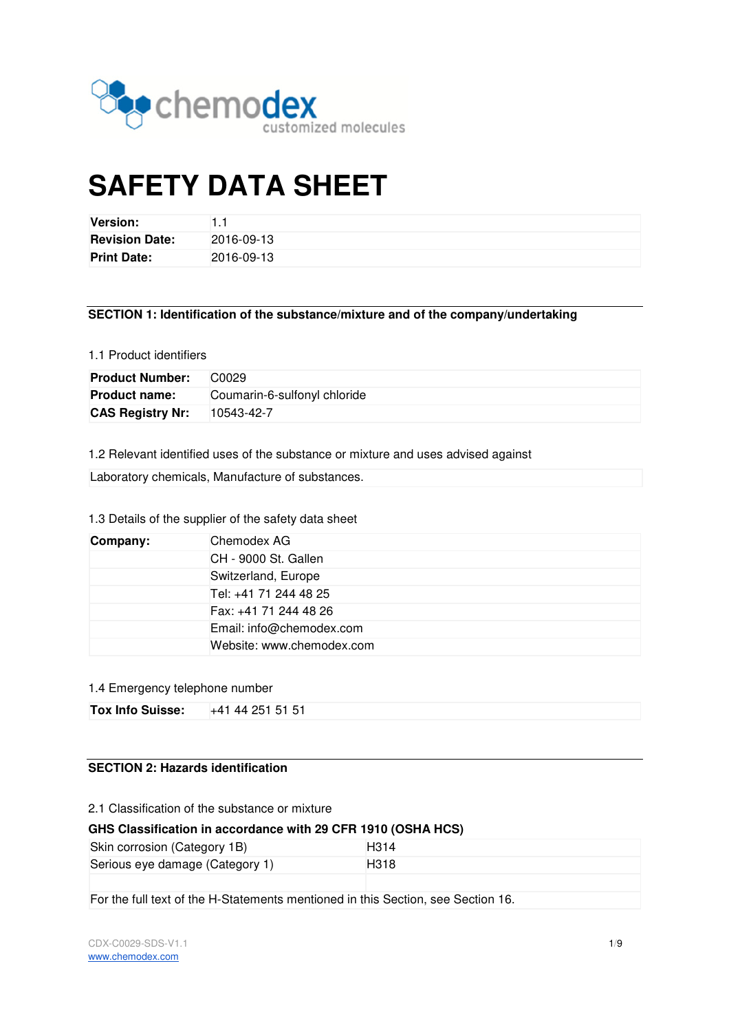

# **SAFETY DATA SHEET**

| <b>Version:</b>       |            |
|-----------------------|------------|
| <b>Revision Date:</b> | 2016-09-13 |
| <b>Print Date:</b>    | 2016-09-13 |

# **SECTION 1: Identification of the substance/mixture and of the company/undertaking**

## 1.1 Product identifiers

| <b>Product Number:</b>  | C <sub>0</sub> 029           |  |
|-------------------------|------------------------------|--|
| <b>Product name:</b>    | Coumarin-6-sulfonyl chloride |  |
| <b>CAS Registry Nr:</b> | 10543-42-7                   |  |

1.2 Relevant identified uses of the substance or mixture and uses advised against

| Laboratory chemicals, Manufacture of substances. |  |  |  |  |
|--------------------------------------------------|--|--|--|--|
|--------------------------------------------------|--|--|--|--|

# 1.3 Details of the supplier of the safety data sheet

| Company: | Chemodex AG               |  |
|----------|---------------------------|--|
|          | CH - 9000 St. Gallen      |  |
|          | Switzerland, Europe       |  |
|          | Tel: +41 71 244 48 25     |  |
|          | Fax: +41 71 244 48 26     |  |
|          | Email: info@chemodex.com  |  |
|          | Website: www.chemodex.com |  |

## 1.4 Emergency telephone number

| <b>Tox Info Suisse:</b> | +41 44 251 51 51 |  |
|-------------------------|------------------|--|

# **SECTION 2: Hazards identification**

2.1 Classification of the substance or mixture

# **GHS Classification in accordance with 29 CFR 1910 (OSHA HCS)**

| Skin corrosion (Category 1B)    | H <sub>3</sub> 14 |
|---------------------------------|-------------------|
| Serious eye damage (Category 1) | H <sub>3</sub> 18 |
|                                 |                   |

For the full text of the H-Statements mentioned in this Section, see Section 16.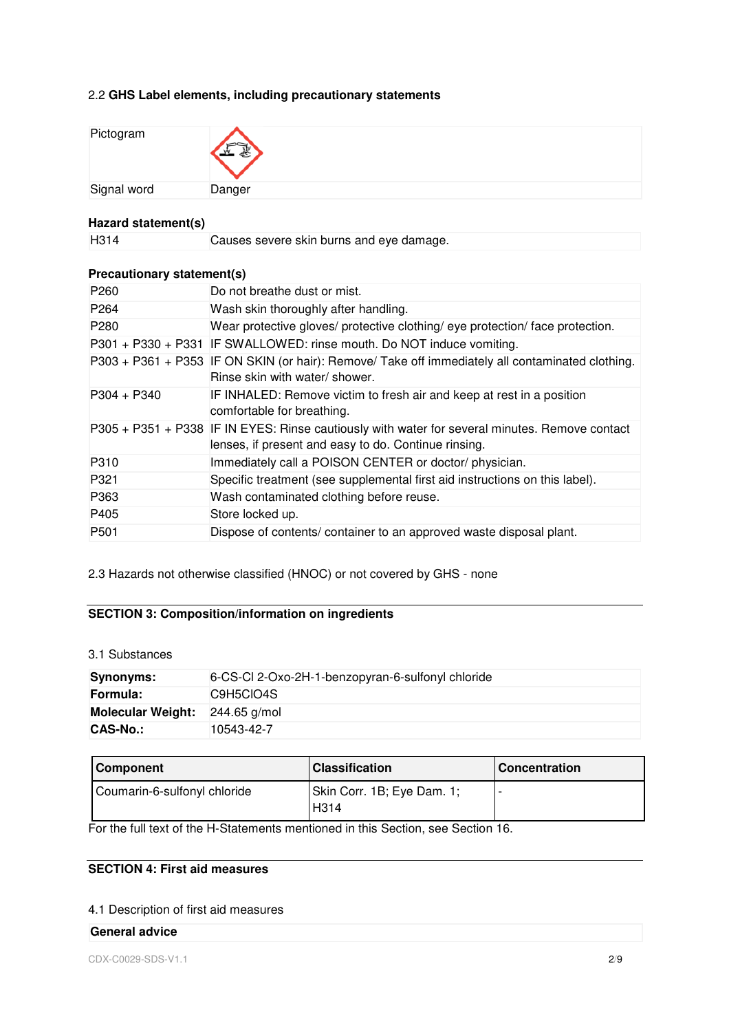# 2.2 **GHS Label elements, including precautionary statements**

| Pictogram   |        |
|-------------|--------|
| Signal word | Danger |

# **Hazard statement(s)**

| H314 | Causes severe skin burns and eye damage. |
|------|------------------------------------------|

# **Precautionary statement(s)**

| P <sub>260</sub> | Do not breathe dust or mist.                                                                                                                           |
|------------------|--------------------------------------------------------------------------------------------------------------------------------------------------------|
| P <sub>264</sub> | Wash skin thoroughly after handling.                                                                                                                   |
| P <sub>280</sub> | Wear protective gloves/ protective clothing/ eye protection/ face protection.                                                                          |
|                  | P301 + P330 + P331 IF SWALLOWED: rinse mouth. Do NOT induce vomiting.                                                                                  |
|                  | P303 + P361 + P353 IF ON SKIN (or hair): Remove/ Take off immediately all contaminated clothing.<br>Rinse skin with water/ shower.                     |
| $P304 + P340$    | IF INHALED: Remove victim to fresh air and keep at rest in a position<br>comfortable for breathing.                                                    |
|                  | P305 + P351 + P338 IF IN EYES: Rinse cautiously with water for several minutes. Remove contact<br>lenses, if present and easy to do. Continue rinsing. |
| P310             | Immediately call a POISON CENTER or doctor/physician.                                                                                                  |
| P321             | Specific treatment (see supplemental first aid instructions on this label).                                                                            |
| P363             | Wash contaminated clothing before reuse.                                                                                                               |
| P405             | Store locked up.                                                                                                                                       |
| P <sub>501</sub> | Dispose of contents/container to an approved waste disposal plant.                                                                                     |

2.3 Hazards not otherwise classified (HNOC) or not covered by GHS - none

# **SECTION 3: Composition/information on ingredients**

3.1 Substances

| Synonyms:                | 6-CS-Cl 2-Oxo-2H-1-benzopyran-6-sulfonyl chloride |  |
|--------------------------|---------------------------------------------------|--|
| Formula:                 | C9H5CIO4S                                         |  |
| <b>Molecular Weight:</b> | 244.65 g/mol                                      |  |
| CAS-No.:                 | 10543-42-7                                        |  |

| <b>Component</b>             | <b>Classification</b>                           | l Concentration |
|------------------------------|-------------------------------------------------|-----------------|
| Coumarin-6-sulfonyl chloride | Skin Corr. 1B; Eye Dam. 1;<br>H <sub>3</sub> 14 |                 |

For the full text of the H-Statements mentioned in this Section, see Section 16.

# **SECTION 4: First aid measures**

# 4.1 Description of first aid measures

# **General advice**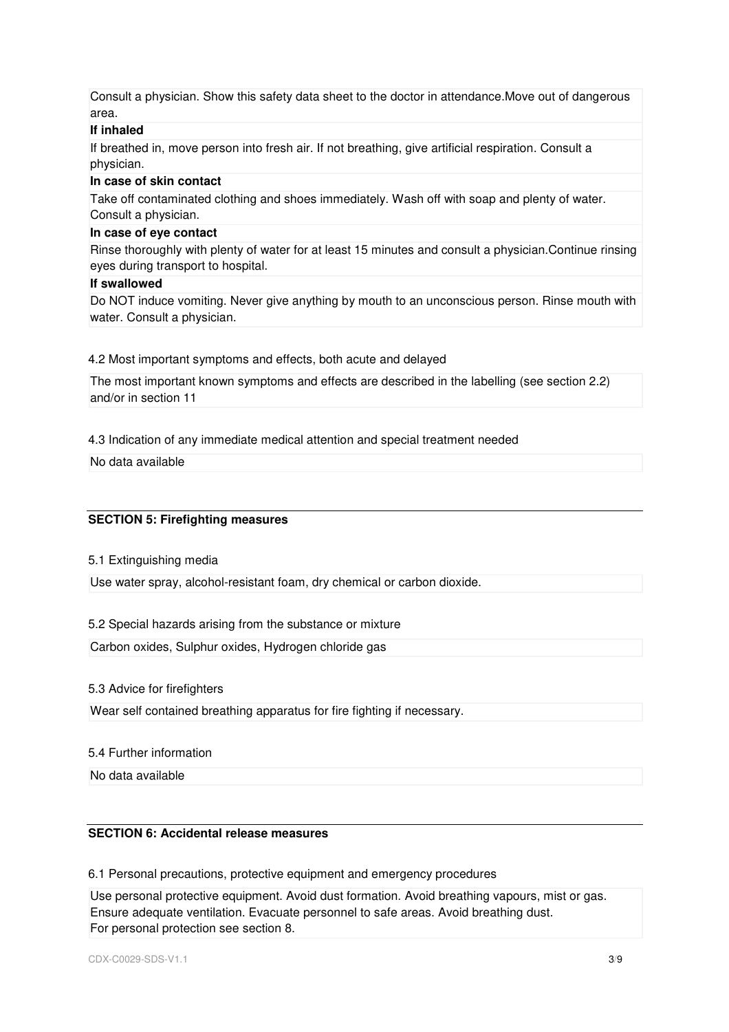Consult a physician. Show this safety data sheet to the doctor in attendance.Move out of dangerous area.

# **If inhaled**

If breathed in, move person into fresh air. If not breathing, give artificial respiration. Consult a physician.

#### **In case of skin contact**

Take off contaminated clothing and shoes immediately. Wash off with soap and plenty of water. Consult a physician.

#### **In case of eye contact**

Rinse thoroughly with plenty of water for at least 15 minutes and consult a physician.Continue rinsing eyes during transport to hospital.

#### **If swallowed**

Do NOT induce vomiting. Never give anything by mouth to an unconscious person. Rinse mouth with water. Consult a physician.

#### 4.2 Most important symptoms and effects, both acute and delayed

The most important known symptoms and effects are described in the labelling (see section 2.2) and/or in section 11

4.3 Indication of any immediate medical attention and special treatment needed

No data available

# **SECTION 5: Firefighting measures**

5.1 Extinguishing media

Use water spray, alcohol-resistant foam, dry chemical or carbon dioxide.

5.2 Special hazards arising from the substance or mixture

Carbon oxides, Sulphur oxides, Hydrogen chloride gas

#### 5.3 Advice for firefighters

Wear self contained breathing apparatus for fire fighting if necessary.

#### 5.4 Further information

No data available

# **SECTION 6: Accidental release measures**

6.1 Personal precautions, protective equipment and emergency procedures

Use personal protective equipment. Avoid dust formation. Avoid breathing vapours, mist or gas. Ensure adequate ventilation. Evacuate personnel to safe areas. Avoid breathing dust. For personal protection see section 8.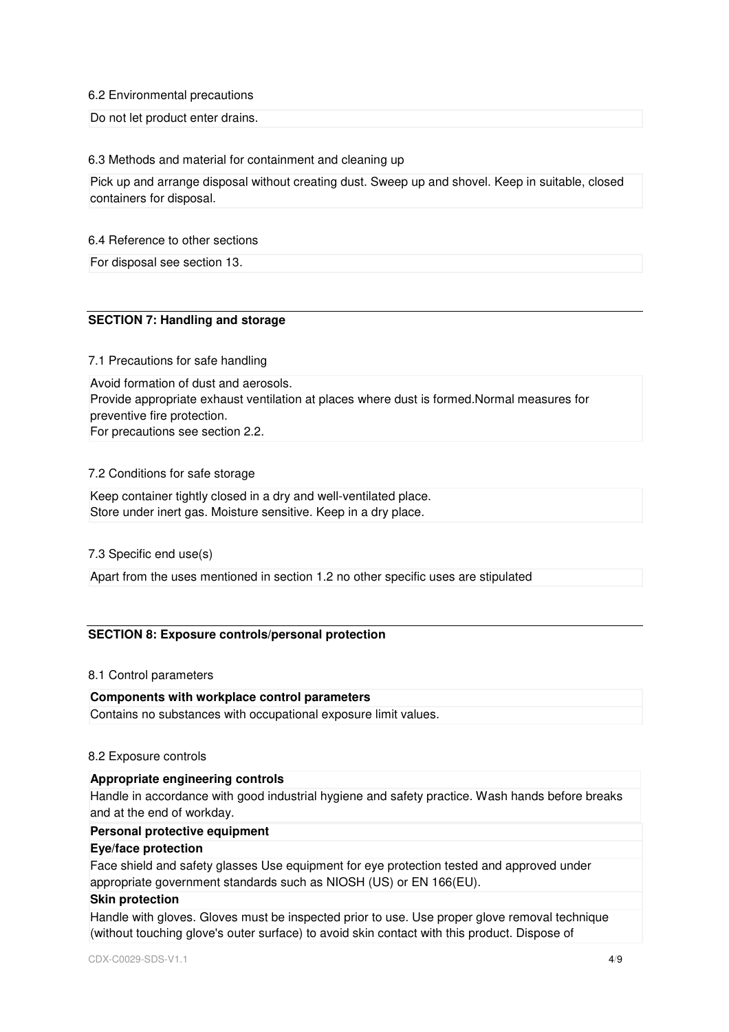#### 6.2 Environmental precautions

Do not let product enter drains.

#### 6.3 Methods and material for containment and cleaning up

Pick up and arrange disposal without creating dust. Sweep up and shovel. Keep in suitable, closed containers for disposal.

#### 6.4 Reference to other sections

For disposal see section 13.

# **SECTION 7: Handling and storage**

#### 7.1 Precautions for safe handling

Avoid formation of dust and aerosols. Provide appropriate exhaust ventilation at places where dust is formed.Normal measures for preventive fire protection. For precautions see section 2.2.

# 7.2 Conditions for safe storage

Keep container tightly closed in a dry and well-ventilated place. Store under inert gas. Moisture sensitive. Keep in a dry place.

#### 7.3 Specific end use(s)

Apart from the uses mentioned in section 1.2 no other specific uses are stipulated

# **SECTION 8: Exposure controls/personal protection**

#### 8.1 Control parameters

#### **Components with workplace control parameters**

Contains no substances with occupational exposure limit values.

#### 8.2 Exposure controls

# **Appropriate engineering controls**

Handle in accordance with good industrial hygiene and safety practice. Wash hands before breaks and at the end of workday.

#### **Personal protective equipment**

#### **Eye/face protection**

Face shield and safety glasses Use equipment for eye protection tested and approved under appropriate government standards such as NIOSH (US) or EN 166(EU).

#### **Skin protection**

Handle with gloves. Gloves must be inspected prior to use. Use proper glove removal technique (without touching glove's outer surface) to avoid skin contact with this product. Dispose of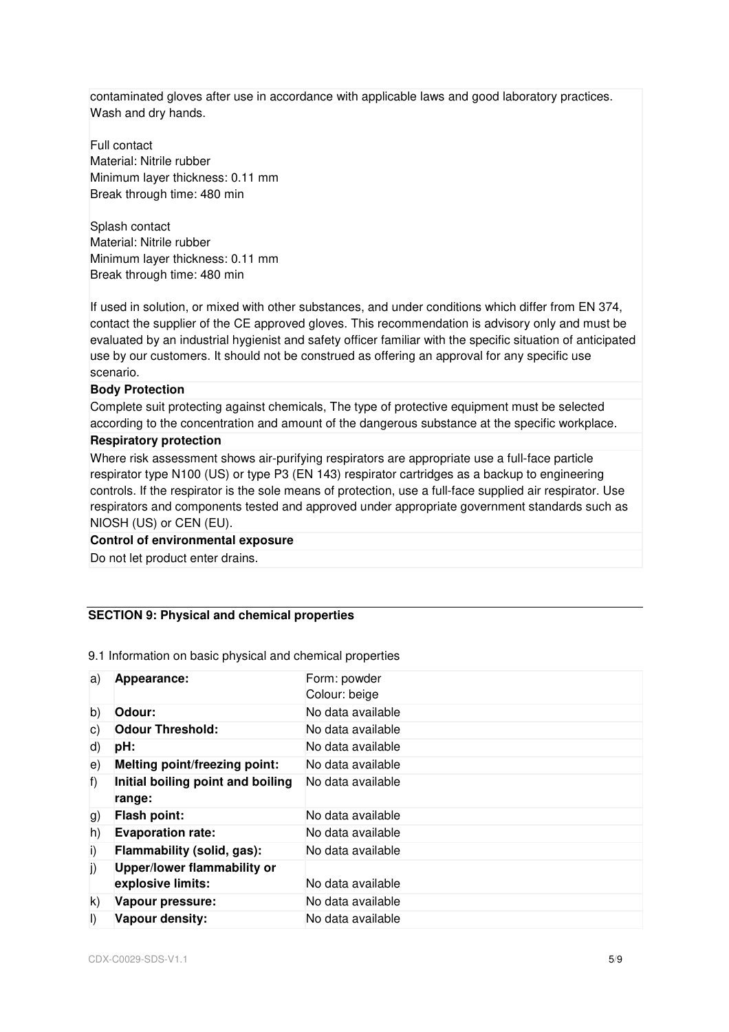contaminated gloves after use in accordance with applicable laws and good laboratory practices. Wash and dry hands.

Full contact Material: Nitrile rubber Minimum layer thickness: 0.11 mm Break through time: 480 min

Splash contact Material: Nitrile rubber Minimum layer thickness: 0.11 mm Break through time: 480 min

If used in solution, or mixed with other substances, and under conditions which differ from EN 374, contact the supplier of the CE approved gloves. This recommendation is advisory only and must be evaluated by an industrial hygienist and safety officer familiar with the specific situation of anticipated use by our customers. It should not be construed as offering an approval for any specific use scenario.

#### **Body Protection**

Complete suit protecting against chemicals, The type of protective equipment must be selected according to the concentration and amount of the dangerous substance at the specific workplace.

#### **Respiratory protection**

Where risk assessment shows air-purifying respirators are appropriate use a full-face particle respirator type N100 (US) or type P3 (EN 143) respirator cartridges as a backup to engineering controls. If the respirator is the sole means of protection, use a full-face supplied air respirator. Use respirators and components tested and approved under appropriate government standards such as NIOSH (US) or CEN (EU).

#### **Control of environmental exposure**

Do not let product enter drains.

#### **SECTION 9: Physical and chemical properties**

| a)      | Appearance:                                 | Form: powder      |
|---------|---------------------------------------------|-------------------|
|         |                                             | Colour: beige     |
| b)      | Odour:                                      | No data available |
| C)      | <b>Odour Threshold:</b>                     | No data available |
| d)      | pH:                                         | No data available |
| e)      | Melting point/freezing point:               | No data available |
| f)      | Initial boiling point and boiling<br>range: | No data available |
| g)      | <b>Flash point:</b>                         | No data available |
| h)      | <b>Evaporation rate:</b>                    | No data available |
| i)      | Flammability (solid, gas):                  | No data available |
| j)      | Upper/lower flammability or                 |                   |
|         | explosive limits:                           | No data available |
| k)      | Vapour pressure:                            | No data available |
| $\vert$ | Vapour density:                             | No data available |

9.1 Information on basic physical and chemical properties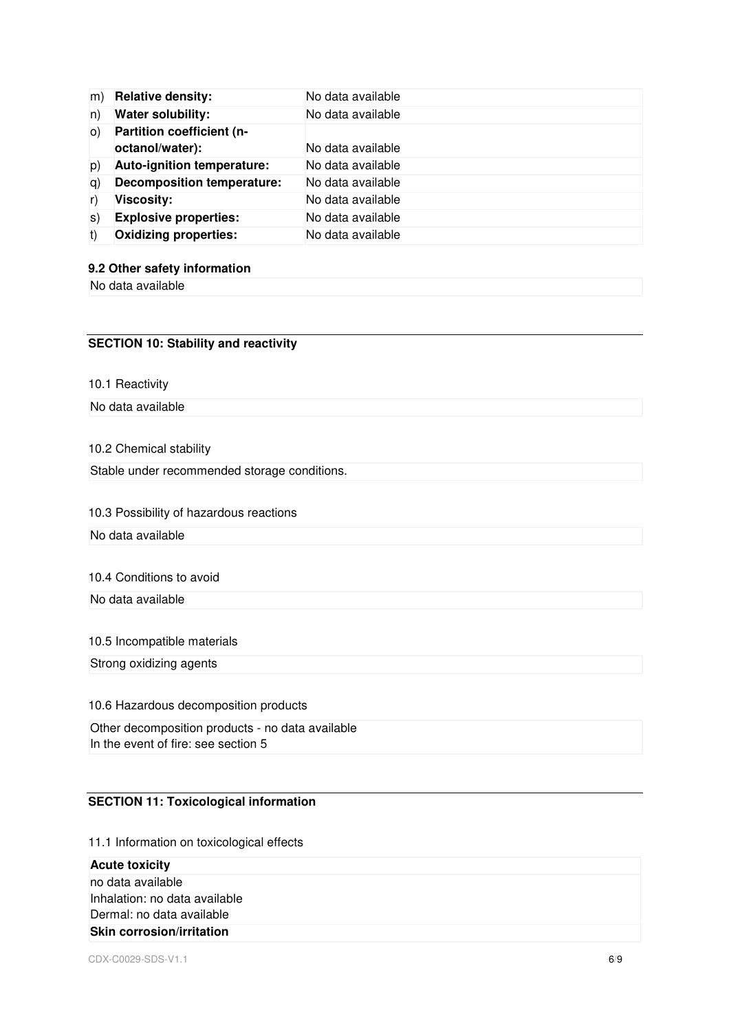| m)  | <b>Relative density:</b>          | No data available |
|-----|-----------------------------------|-------------------|
| n)  | <b>Water solubility:</b>          | No data available |
| O() | Partition coefficient (n-         |                   |
|     | octanol/water):                   | No data available |
| p)  | Auto-ignition temperature:        | No data available |
| q)  | <b>Decomposition temperature:</b> | No data available |
| r)  | <b>Viscosity:</b>                 | No data available |
| s)  | <b>Explosive properties:</b>      | No data available |
| t)  | <b>Oxidizing properties:</b>      | No data available |

#### **9.2 Other safety information**

No data available

# **SECTION 10: Stability and reactivity**

10.1 Reactivity

No data available

10.2 Chemical stability

Stable under recommended storage conditions.

# 10.3 Possibility of hazardous reactions

No data available

# 10.4 Conditions to avoid

No data available

#### 10.5 Incompatible materials

Strong oxidizing agents

10.6 Hazardous decomposition products

Other decomposition products - no data available In the event of fire: see section 5

# **SECTION 11: Toxicological information**

11.1 Information on toxicological effects

**Acute toxicity**  no data available Inhalation: no data available Dermal: no data available **Skin corrosion/irritation**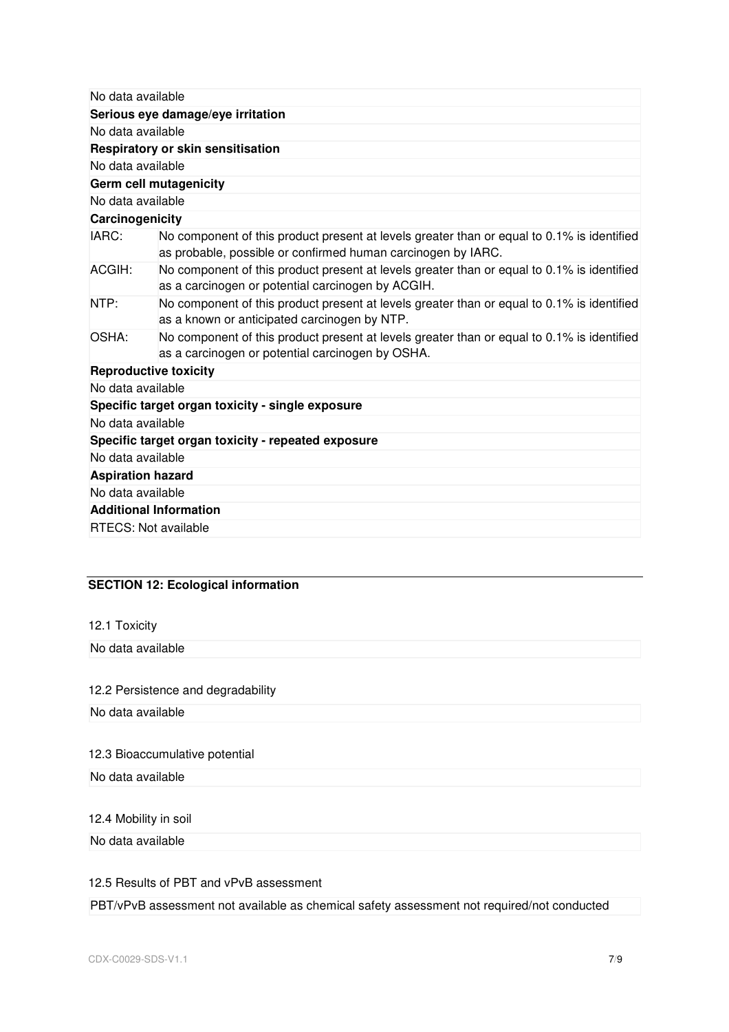| No data available             |                                                                                                                                                            |  |  |  |
|-------------------------------|------------------------------------------------------------------------------------------------------------------------------------------------------------|--|--|--|
|                               | Serious eye damage/eye irritation                                                                                                                          |  |  |  |
| No data available             |                                                                                                                                                            |  |  |  |
|                               | Respiratory or skin sensitisation                                                                                                                          |  |  |  |
| No data available             |                                                                                                                                                            |  |  |  |
|                               | Germ cell mutagenicity                                                                                                                                     |  |  |  |
| No data available             |                                                                                                                                                            |  |  |  |
| Carcinogenicity               |                                                                                                                                                            |  |  |  |
| IARC:                         | No component of this product present at levels greater than or equal to 0.1% is identified<br>as probable, possible or confirmed human carcinogen by IARC. |  |  |  |
| ACGIH:                        | No component of this product present at levels greater than or equal to 0.1% is identified<br>as a carcinogen or potential carcinogen by ACGIH.            |  |  |  |
| NTP:                          | No component of this product present at levels greater than or equal to 0.1% is identified<br>as a known or anticipated carcinogen by NTP.                 |  |  |  |
| OSHA:                         | No component of this product present at levels greater than or equal to 0.1% is identified<br>as a carcinogen or potential carcinogen by OSHA.             |  |  |  |
| <b>Reproductive toxicity</b>  |                                                                                                                                                            |  |  |  |
| No data available             |                                                                                                                                                            |  |  |  |
|                               | Specific target organ toxicity - single exposure                                                                                                           |  |  |  |
| No data available             |                                                                                                                                                            |  |  |  |
|                               | Specific target organ toxicity - repeated exposure                                                                                                         |  |  |  |
| No data available             |                                                                                                                                                            |  |  |  |
| <b>Aspiration hazard</b>      |                                                                                                                                                            |  |  |  |
| No data available             |                                                                                                                                                            |  |  |  |
| <b>Additional Information</b> |                                                                                                                                                            |  |  |  |
| <b>RTECS: Not available</b>   |                                                                                                                                                            |  |  |  |
|                               |                                                                                                                                                            |  |  |  |

# **SECTION 12: Ecological information**

12.1 Toxicity

No data available

# 12.2 Persistence and degradability

No data available

# 12.3 Bioaccumulative potential

No data available

# 12.4 Mobility in soil

No data available

# 12.5 Results of PBT and vPvB assessment

PBT/vPvB assessment not available as chemical safety assessment not required/not conducted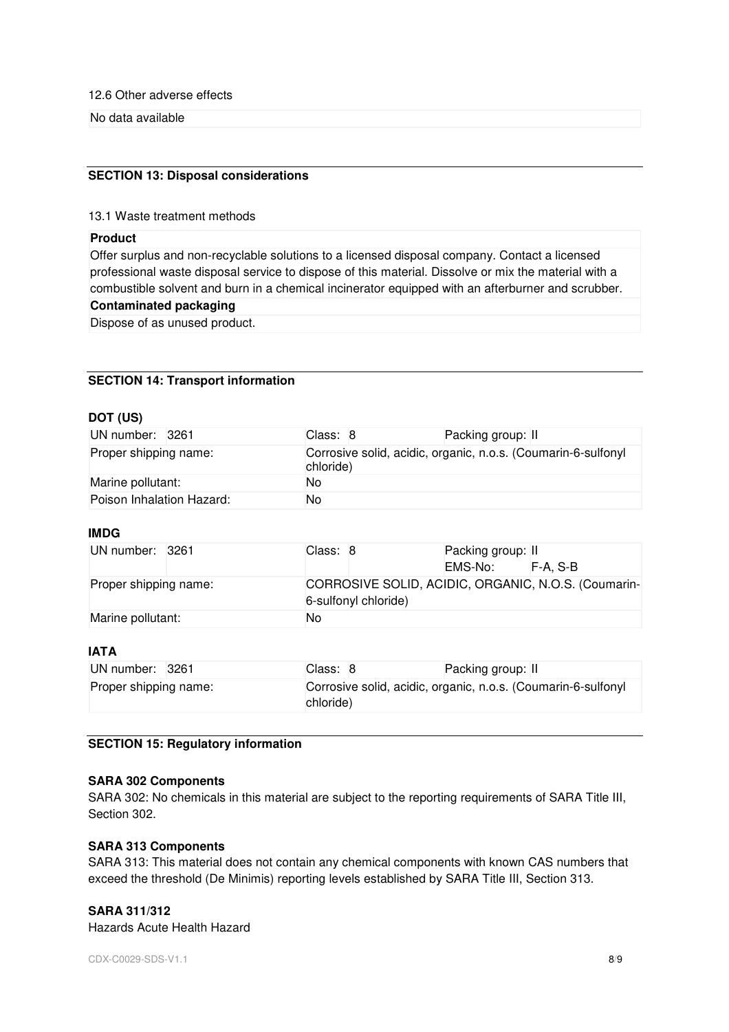12.6 Other adverse effects

No data available

# **SECTION 13: Disposal considerations**

13.1 Waste treatment methods

# **Product**

Offer surplus and non-recyclable solutions to a licensed disposal company. Contact a licensed professional waste disposal service to dispose of this material. Dissolve or mix the material with a combustible solvent and burn in a chemical incinerator equipped with an afterburner and scrubber.

## **Contaminated packaging**

Dispose of as unused product.

## **SECTION 14: Transport information**

## **DOT (US)**

| UN number: 3261           |  | Class: 8                                                                   |  | Packing group: II |  |  |
|---------------------------|--|----------------------------------------------------------------------------|--|-------------------|--|--|
| Proper shipping name:     |  | Corrosive solid, acidic, organic, n.o.s. (Coumarin-6-sulfonyl<br>chloride) |  |                   |  |  |
| Marine pollutant:         |  | No                                                                         |  |                   |  |  |
| Poison Inhalation Hazard: |  | No                                                                         |  |                   |  |  |

# **IMDG**

| UN number: 3261       |  | Class: 8                                                                    |  | Packing group: II<br>EMS-No: | $F-A.S-B$ |
|-----------------------|--|-----------------------------------------------------------------------------|--|------------------------------|-----------|
| Proper shipping name: |  | CORROSIVE SOLID, ACIDIC, ORGANIC, N.O.S. (Coumarin-<br>6-sulfonyl chloride) |  |                              |           |
| Marine pollutant:     |  | No                                                                          |  |                              |           |

# **IATA**

| UN number: 3261       |  | Class: 8  | Packing group: II                                             |
|-----------------------|--|-----------|---------------------------------------------------------------|
| Proper shipping name: |  | chloride) | Corrosive solid, acidic, organic, n.o.s. (Coumarin-6-sulfonyl |

# **SECTION 15: Regulatory information**

#### **SARA 302 Components**

SARA 302: No chemicals in this material are subject to the reporting requirements of SARA Title III, Section 302.

#### **SARA 313 Components**

SARA 313: This material does not contain any chemical components with known CAS numbers that exceed the threshold (De Minimis) reporting levels established by SARA Title III, Section 313.

# **SARA 311/312**

Hazards Acute Health Hazard